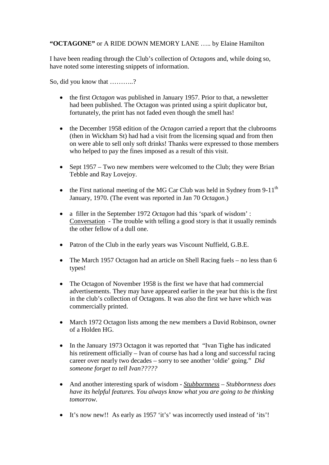## **"OCTAGONE"** or A RIDE DOWN MEMORY LANE ….. by Elaine Hamilton

I have been reading through the Club's collection of *Octagon*s and, while doing so, have noted some interesting snippets of information.

So, did you know that ………..?

- the first *Octagon* was published in January 1957. Prior to that, a newsletter had been published. The Octagon was printed using a spirit duplicator but, fortunately, the print has not faded even though the smell has!
- the December 1958 edition of the *Octagon* carried a report that the clubrooms (then in Wickham St) had had a visit from the licensing squad and from then on were able to sell only soft drinks! Thanks were expressed to those members who helped to pay the fines imposed as a result of this visit.
- Sept  $1957 Two new members were welcome to the Club; they were Brian$ Tebble and Ray Lovejoy.
- the First national meeting of the MG Car Club was held in Sydney from 9-11<sup>th</sup> January, 1970. (The event was reported in Jan 70 *Octagon*.)
- a filler in the September 1972 *Octagon* had this 'spark of wisdom' : Conversation - The trouble with telling a good story is that it usually reminds the other fellow of a dull one.
- Patron of the Club in the early years was Viscount Nuffield, G.B.E.
- The March 1957 Octagon had an article on Shell Racing fuels no less than 6 types!
- The Octagon of November 1958 is the first we have that had commercial advertisements. They may have appeared earlier in the year but this is the first in the club's collection of Octagons. It was also the first we have which was commercially printed.
- March 1972 Octagon lists among the new members a David Robinson, owner of a Holden HG.
- In the January 1973 Octagon it was reported that "Ivan Tighe has indicated his retirement officially – Ivan of course has had a long and successful racing career over nearly two decades – sorry to see another 'oldie' going." *Did someone forget to tell Ivan?????*
- And another interesting spark of wisdom *Stubbornness – Stubbornness does have its helpful features. You always know what you are going to be thinking tomorrow.*
- It's now new!! As early as 1957 'it's' was incorrectly used instead of 'its'!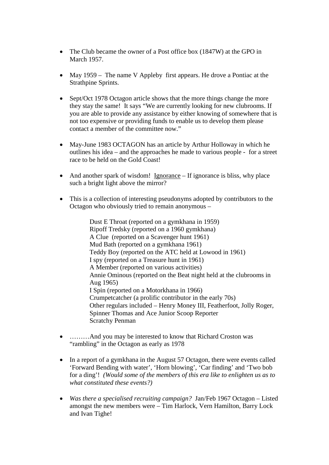- The Club became the owner of a Post office box (1847W) at the GPO in March 1957.
- May 1959 The name V Appleby first appears. He drove a Pontiac at the Strathpine Sprints.
- Sept/Oct 1978 Octagon article shows that the more things change the more they stay the same! It says "We are currently looking for new clubrooms. If you are able to provide any assistance by either knowing of somewhere that is not too expensive or providing funds to enable us to develop them please contact a member of the committee now."
- May-June 1983 OCTAGON has an article by Arthur Holloway in which he outlines his idea – and the approaches he made to various people - for a street race to be held on the Gold Coast!
- And another spark of wisdom! Ignorance If ignorance is bliss, why place such a bright light above the mirror?
- This is a collection of interesting pseudonyms adopted by contributors to the Octagon who obviously tried to remain anonymous –

Dust E Throat (reported on a gymkhana in 1959) Ripoff Tredsky (reported on a 1960 gymkhana) A Clue (reported on a Scavenger hunt 1961) Mud Bath (reported on a gymkhana 1961) Teddy Boy (reported on the ATC held at Lowood in 1961) I spy (reported on a Treasure hunt in 1961) A Member (reported on various activities) Annie Ominous (reported on the Beat night held at the clubrooms in Aug 1965) I Spin (reported on a Motorkhana in 1966) Crumpetcatcher (a prolific contributor in the early 70s) Other regulars included – Henry Money III, Featherfoot, Jolly Roger, Spinner Thomas and Ace Junior Scoop Reporter Scratchy Penman

- .........And you may be interested to know that Richard Croston was "rambling" in the Octagon as early as 1978
- In a report of a gymkhana in the August 57 Octagon, there were events called 'Forward Bending with water', 'Horn blowing', 'Car finding' and 'Two bob for a ding'! *(Would some of the members of this era like to enlighten us as to what constituted these events?)*
- *Was there a specialised recruiting campaign?* Jan/Feb 1967 Octagon Listed amongst the new members were – Tim Harlock, Vern Hamilton, Barry Lock and Ivan Tighe!